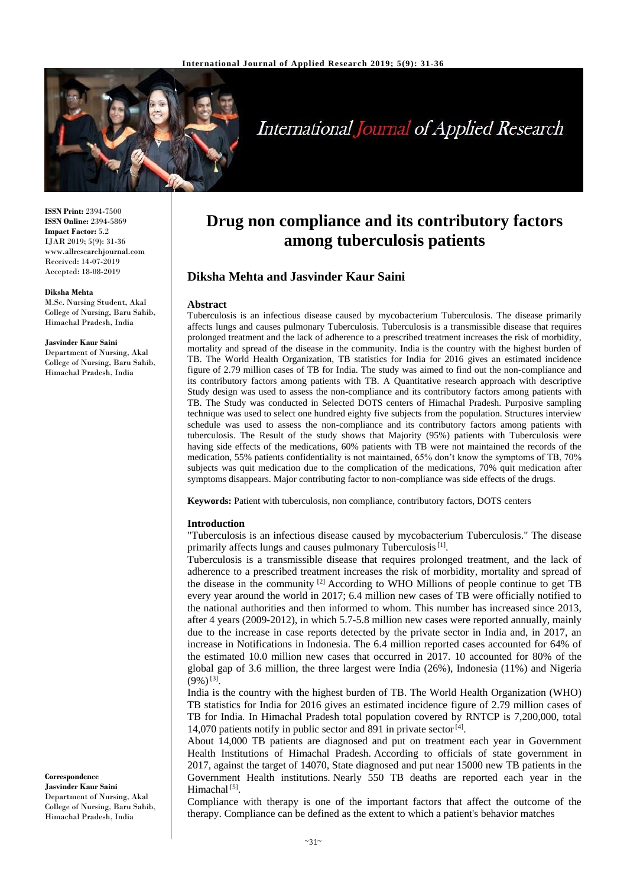

# **International Journal of Applied Research**

**ISSN Print:** 2394-7500 **ISSN Online:** 2394-5869 **Impact Factor:** 5.2 IJAR 2019; 5(9): 31-36 www.allresearchjournal.com Received: 14-07-2019 Accepted: 18-08-2019

#### **Diksha Mehta**

M.Sc. Nursing Student, Akal College of Nursing, Baru Sahib, Himachal Pradesh, India

#### **Jasvinder Kaur Saini**

Department of Nursing, Akal College of Nursing, Baru Sahib, Himachal Pradesh, India

#### **Correspondence Jasvinder Kaur Saini** Department of Nursing, Akal College of Nursing, Baru Sahib, Himachal Pradesh, India

## **Drug non compliance and its contributory factors among tuberculosis patients**

## **Diksha Mehta and Jasvinder Kaur Saini**

#### **Abstract**

Tuberculosis is an infectious disease caused by mycobacterium Tuberculosis. The disease primarily affects lungs and causes pulmonary Tuberculosis. Tuberculosis is a transmissible disease that requires prolonged treatment and the lack of adherence to a prescribed treatment increases the risk of morbidity, mortality and spread of the disease in the community. India is the country with the highest burden of TB. The World Health Organization, TB statistics for India for 2016 gives an estimated incidence figure of 2.79 million cases of TB for India. The study was aimed to find out the non-compliance and its contributory factors among patients with TB. A Quantitative research approach with descriptive Study design was used to assess the non-compliance and its contributory factors among patients with TB. The Study was conducted in Selected DOTS centers of Himachal Pradesh. Purposive sampling technique was used to select one hundred eighty five subjects from the population. Structures interview schedule was used to assess the non-compliance and its contributory factors among patients with tuberculosis. The Result of the study shows that Majority (95%) patients with Tuberculosis were having side effects of the medications, 60% patients with TB were not maintained the records of the medication, 55% patients confidentiality is not maintained, 65% don't know the symptoms of TB, 70% subjects was quit medication due to the complication of the medications, 70% quit medication after symptoms disappears. Major contributing factor to non-compliance was side effects of the drugs.

**Keywords:** Patient with tuberculosis, non compliance, contributory factors, DOTS centers

#### **Introduction**

"Tuberculosis is an infectious disease caused by mycobacterium Tuberculosis." The disease primarily affects lungs and causes pulmonary Tuberculosis<sup>[1]</sup>.

Tuberculosis is a transmissible disease that requires prolonged treatment, and the lack of adherence to a prescribed treatment increases the risk of morbidity, mortality and spread of the disease in the community  $^{[2]}$  According to WHO Millions of people continue to get TB every year around the world in 2017; 6.4 million new cases of TB were officially notified to the national authorities and then informed to whom. This number has increased since 2013, after 4 years (2009-2012), in which 5.7-5.8 million new cases were reported annually, mainly due to the increase in case reports detected by the private sector in India and, in 2017, an increase in Notifications in Indonesia. The 6.4 million reported cases accounted for 64% of the estimated 10.0 million new cases that occurred in 2017. 10 accounted for 80% of the global gap of 3.6 million, the three largest were India (26%), Indonesia (11%) and Nigeria  $(9\%)^{[3]}$ .

India is the country with the highest burden of TB. The World Health Organization (WHO) TB statistics for India for 2016 gives an estimated incidence figure of 2.79 million cases of TB for India. In Himachal Pradesh total population covered by RNTCP is 7,200,000, total 14,070 patients notify in public sector and 891 in private sector  $[4]$ .

About 14,000 TB patients are diagnosed and put on treatment each year in Government Health Institutions of Himachal Pradesh. According to officials of state government in 2017, against the target of 14070, State diagnosed and put near 15000 new TB patients in the Government Health institutions. Nearly 550 TB deaths are reported each year in the Himachal<sup>[5]</sup>.

Compliance with therapy is one of the important factors that affect the outcome of the therapy. Compliance can be defined as the extent to which a patient's behavior matches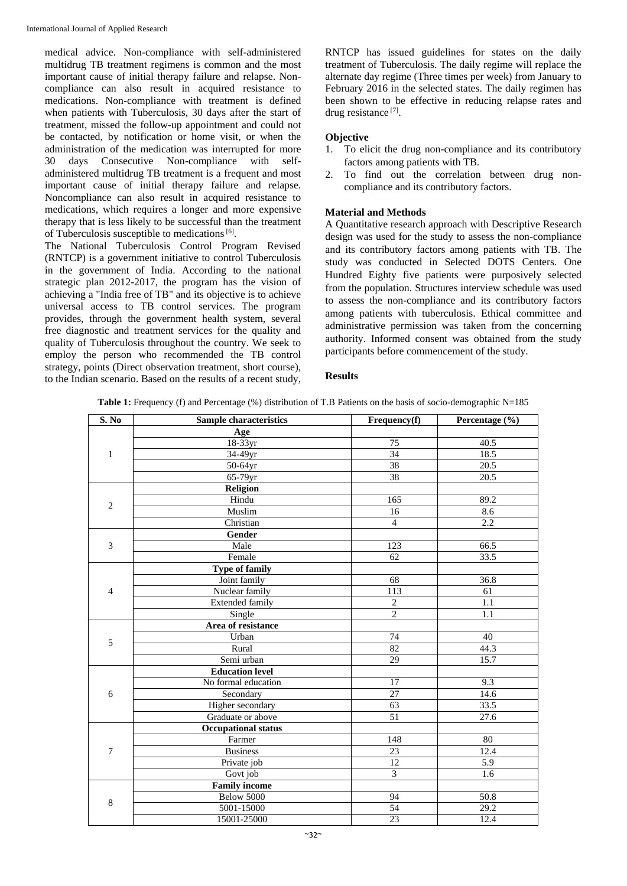medical advice. Non-compliance with self-administered multidrug TB treatment regimens is common and the most important cause of initial therapy failure and relapse. Noncompliance can also result in acquired resistance to medications. Non-compliance with treatment is defined when patients with Tuberculosis, 30 days after the start of treatment, missed the follow-up appointment and could not be contacted, by notification or home visit, or when the administration of the medication was interrupted for more 30 days Consecutive Non-compliance with selfadministered multidrug TB treatment is a frequent and most important cause of initial therapy failure and relapse. Noncompliance can also result in acquired resistance to medications, which requires a longer and more expensive therapy that is less likely to be successful than the treatment of Tuberculosis susceptible to medications<sup>[6]</sup>.

The National Tuberculosis Control Program Revised (RNTCP) is a government initiative to control Tuberculosis in the government of India. According to the national strategic plan 2012-2017, the program has the vision of achieving a "India free of TB" and its objective is to achieve universal access to TB control services. The program provides, through the government health system, several free diagnostic and treatment services for the quality and quality of Tuberculosis throughout the country. We seek to employ the person who recommended the TB control strategy, points (Direct observation treatment, short course), to the Indian scenario. Based on the results of a recent study, RNTCP has issued guidelines for states on the daily treatment of Tuberculosis. The daily regime will replace the alternate day regime (Three times per week) from January to February 2016 in the selected states. The daily regimen has been shown to be effective in reducing relapse rates and drug resistance<sup>[7]</sup>.

## **Objective**

- 1. To elicit the drug non-compliance and its contributory factors among patients with TB.
- 2. To find out the correlation between drug noncompliance and its contributory factors.

## **Material and Methods**

A Quantitative research approach with Descriptive Research design was used for the study to assess the non-compliance and its contributory factors among patients with TB. The study was conducted in Selected DOTS Centers. One Hundred Eighty five patients were purposively selected from the population. Structures interview schedule was used to assess the non-compliance and its contributory factors among patients with tuberculosis. Ethical committee and administrative permission was taken from the concerning authority. Informed consent was obtained from the study participants before commencement of the study.

## **Results**

|  |  | Table 1: Frequency (f) and Percentage (%) distribution of T.B Patients on the basis of socio-demographic N=185 |
|--|--|----------------------------------------------------------------------------------------------------------------|
|  |  |                                                                                                                |

| S. No          | <b>Sample characteristics</b> | $\overline{\textbf{F}}$ requency(f) | Percentage (%) |
|----------------|-------------------------------|-------------------------------------|----------------|
|                | Age                           |                                     |                |
|                | 18-33yr                       | 75                                  | 40.5           |
| $\mathbf{1}$   | 34-49yr                       | 34                                  | 18.5           |
|                | 50-64yr                       | 38                                  | 20.5           |
|                | 65-79yr                       | 38                                  | 20.5           |
|                | Religion                      |                                     |                |
| $\overline{2}$ | Hindu                         | 165                                 | 89.2           |
|                | Muslim                        | 16                                  | 8.6            |
|                | Christian                     | $\overline{4}$                      | 2.2            |
|                | Gender                        |                                     |                |
| 3              | Male                          | 123                                 | 66.5           |
|                | Female                        | 62                                  | 33.5           |
|                | <b>Type of family</b>         |                                     |                |
|                | Joint family                  | 68                                  | 36.8           |
| $\overline{4}$ | Nuclear family                | 113                                 | 61             |
|                | <b>Extended family</b>        | $\sqrt{2}$                          | 1.1            |
|                | Single                        | $\overline{2}$                      | 1.1            |
|                | Area of resistance            |                                     |                |
| 5              | Urban                         | $\overline{74}$                     | 40             |
|                | Rural                         | 82                                  | 44.3           |
|                | Semi urban                    | 29                                  | 15.7           |
|                | <b>Education level</b>        |                                     |                |
|                | No formal education           | 17                                  | 9.3            |
| 6              | Secondary                     | 27                                  | 14.6           |
|                | Higher secondary              | $\overline{63}$                     | 33.5           |
|                | Graduate or above             | $\overline{51}$                     | 27.6           |
|                | <b>Occupational status</b>    |                                     |                |
|                | Farmer                        | 148                                 | 80             |
| $\overline{7}$ | <b>Business</b>               | 23                                  | 12.4           |
|                | Private job                   | 12                                  | 5.9            |
|                | Govt job                      | $\overline{3}$                      | 1.6            |
|                | <b>Family income</b>          |                                     |                |
| 8              | Below 5000                    | 94                                  | 50.8           |
|                | 5001-15000                    | 54                                  | 29.2           |
|                | 15001-25000                   | 23                                  | 12.4           |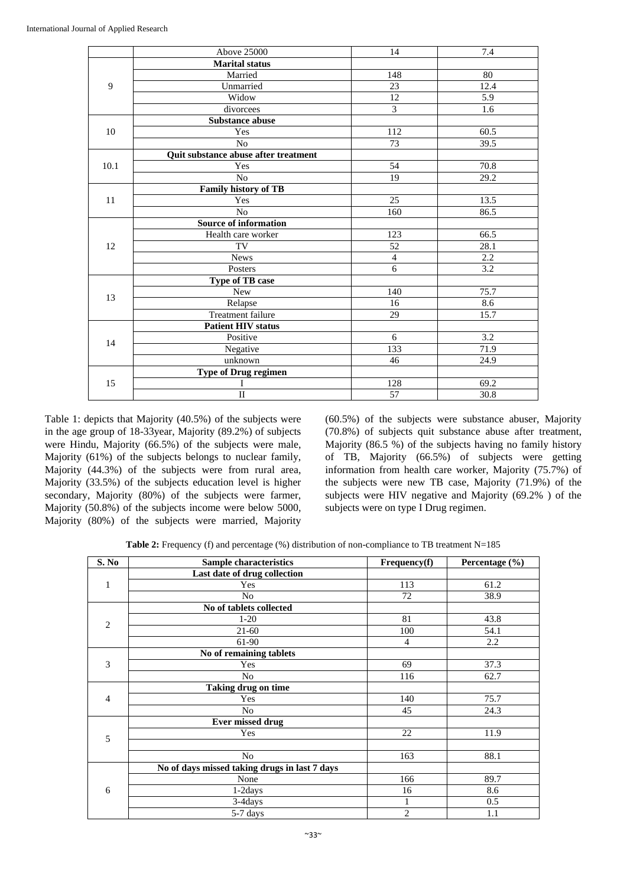|      | Above 25000                          | 14             | 7.4  |
|------|--------------------------------------|----------------|------|
|      | <b>Marital status</b>                |                |      |
| 9    | Married                              | 148            | 80   |
|      | Unmarried                            | 23             | 12.4 |
|      | Widow                                | 12             | 5.9  |
|      | divorcees                            | $\overline{3}$ | 1.6  |
|      | Substance abuse                      |                |      |
| 10   | Yes                                  | 112            | 60.5 |
|      | No                                   | 73             | 39.5 |
|      | Quit substance abuse after treatment |                |      |
| 10.1 | Yes                                  | 54             | 70.8 |
|      | N <sub>o</sub>                       | 19             | 29.2 |
|      | Family history of TB                 |                |      |
| 11   | Yes                                  | 25             | 13.5 |
|      | N <sub>o</sub>                       | 160            | 86.5 |
|      | <b>Source of information</b>         |                |      |
|      | Health care worker                   | 123            | 66.5 |
| 12   | TV                                   | 52             | 28.1 |
|      | <b>News</b>                          | $\overline{4}$ | 2.2  |
|      | Posters                              | $\overline{6}$ | 3.2  |
|      | <b>Type of TB case</b>               |                |      |
| 13   | <b>New</b>                           | 140            | 75.7 |
|      | Relapse                              | 16             | 8.6  |
|      | Treatment failure                    | 29             | 15.7 |
|      | <b>Patient HIV status</b>            |                |      |
| 14   | Positive                             | 6              | 3.2  |
|      | Negative                             | 133            | 71.9 |
|      | unknown                              | 46             | 24.9 |
|      | <b>Type of Drug regimen</b>          |                |      |
| 15   | I                                    | 128            | 69.2 |
|      | $\overline{\mathbb{I}}$              | 57             | 30.8 |

Table 1: depicts that Majority (40.5%) of the subjects were in the age group of 18-33year, Majority (89.2%) of subjects were Hindu, Majority (66.5%) of the subjects were male, Majority (61%) of the subjects belongs to nuclear family, Majority (44.3%) of the subjects were from rural area, Majority (33.5%) of the subjects education level is higher secondary, Majority (80%) of the subjects were farmer, Majority (50.8%) of the subjects income were below 5000, Majority (80%) of the subjects were married, Majority (60.5%) of the subjects were substance abuser, Majority (70.8%) of subjects quit substance abuse after treatment, Majority (86.5 %) of the subjects having no family history of TB, Majority (66.5%) of subjects were getting information from health care worker, Majority (75.7%) of the subjects were new TB case, Majority (71.9%) of the subjects were HIV negative and Majority (69.2% ) of the subjects were on type I Drug regimen.

**Table 2:** Frequency (f) and percentage (%) distribution of non-compliance to TB treatment N=185

| S. No          | Sample characteristics                        | Frequency(f)   | Percentage (%) |
|----------------|-----------------------------------------------|----------------|----------------|
|                | Last date of drug collection                  |                |                |
| 1              | Yes                                           | 113            | 61.2           |
|                | No                                            | 72             | 38.9           |
|                | No of tablets collected                       |                |                |
| $\overline{2}$ | $1-20$                                        | 81             | 43.8           |
|                | $21-60$                                       | 100            | 54.1           |
|                | 61-90                                         | 4              | 2.2            |
|                | No of remaining tablets                       |                |                |
| 3              | Yes                                           | 69             | 37.3           |
|                | N <sub>o</sub>                                | 116            | 62.7           |
|                | Taking drug on time                           |                |                |
| $\overline{4}$ | Yes                                           | 140            | 75.7           |
|                | N <sub>0</sub>                                | 45             | 24.3           |
|                | <b>Ever missed drug</b>                       |                |                |
| 5              | Yes                                           | 22             | 11.9           |
|                |                                               |                |                |
|                | N <sub>o</sub>                                | 163            | 88.1           |
|                | No of days missed taking drugs in last 7 days |                |                |
|                | None                                          | 166            | 89.7           |
| 6              | $1-2$ days                                    | 16             | 8.6            |
|                | 3-4days                                       | 1              | 0.5            |
|                | 5-7 days                                      | $\overline{2}$ | 1.1            |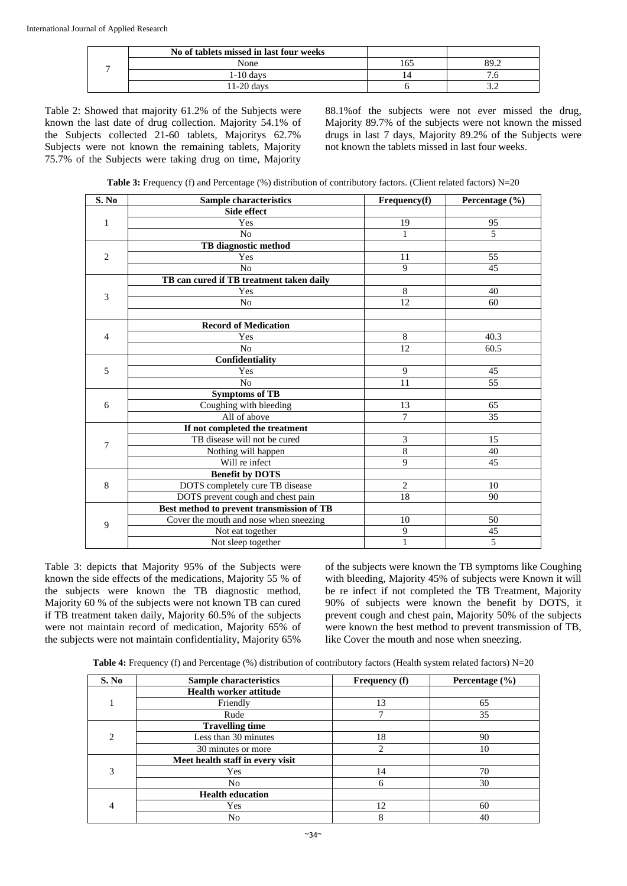| No of tablets missed in last four weeks |      |      |
|-----------------------------------------|------|------|
| None                                    | l 6. | 2Q G |
| $1-10$ davs                             |      |      |
| 1-20 davs                               |      |      |

Table 2: Showed that majority 61.2% of the Subjects were known the last date of drug collection. Majority 54.1% of the Subjects collected 21-60 tablets, Majoritys 62.7% Subjects were not known the remaining tablets, Majority 75.7% of the Subjects were taking drug on time, Majority

88.1%of the subjects were not ever missed the drug, Majority 89.7% of the subjects were not known the missed drugs in last 7 days, Majority 89.2% of the Subjects were not known the tablets missed in last four weeks.

**Table 3:** Frequency (f) and Percentage (%) distribution of contributory factors. (Client related factors)  $N=20$ 

| S. No          | <b>Sample characteristics</b>             | Frequency(f)   | Percentage (%)  |
|----------------|-------------------------------------------|----------------|-----------------|
|                | Side effect                               |                |                 |
| $\mathbf{1}$   | Yes                                       | 19             | 95              |
|                | No                                        | $\mathbf{1}$   | 5               |
|                | TB diagnostic method                      |                |                 |
| $\overline{2}$ | Yes                                       | 11             | 55              |
|                | N <sub>o</sub>                            | 9              | 45              |
|                | TB can cured if TB treatment taken daily  |                |                 |
| 3              | Yes                                       | 8              | 40              |
|                | No                                        | 12             | 60              |
|                |                                           |                |                 |
|                | <b>Record of Medication</b>               |                |                 |
| $\overline{4}$ | Yes                                       | $\,8\,$        | 40.3            |
|                | N <sub>0</sub>                            | 12             | 60.5            |
|                | Confidentiality                           |                |                 |
| 5              | Yes                                       | 9              | 45              |
|                | N <sub>o</sub>                            | 11             | 55              |
|                | <b>Symptoms of TB</b>                     |                |                 |
| 6              | Coughing with bleeding                    | 13             | 65              |
|                | All of above                              | $\overline{7}$ | 35              |
|                | If not completed the treatment            |                |                 |
| 7              | TB disease will not be cured              | 3              | 15              |
|                | Nothing will happen                       | $\,8\,$        | 40              |
|                | Will re infect                            | 9              | 45              |
|                | <b>Benefit by DOTS</b>                    |                |                 |
| $\,$ 8 $\,$    | DOTS completely cure TB disease           | $\overline{2}$ | 10              |
|                | DOTS prevent cough and chest pain         | 18             | 90              |
|                | Best method to prevent transmission of TB |                |                 |
| 9              | Cover the mouth and nose when sneezing    | 10             | 50              |
|                | Not eat together                          | 9              | $\overline{45}$ |
|                | Not sleep together                        | 1              | 5               |

Table 3: depicts that Majority 95% of the Subjects were known the side effects of the medications, Majority 55 % of the subjects were known the TB diagnostic method, Majority 60 % of the subjects were not known TB can cured if TB treatment taken daily, Majority 60.5% of the subjects were not maintain record of medication, Majority 65% of the subjects were not maintain confidentiality, Majority 65%

of the subjects were known the TB symptoms like Coughing with bleeding, Majority 45% of subjects were Known it will be re infect if not completed the TB Treatment, Majority 90% of subjects were known the benefit by DOTS, it prevent cough and chest pain, Majority 50% of the subjects were known the best method to prevent transmission of TB, like Cover the mouth and nose when sneezing.

**Table 4:** Frequency (f) and Percentage (%) distribution of contributory factors (Health system related factors) N=20

| S. No                         | <b>Sample characteristics</b>    | <b>Frequency</b> (f) | Percentage $(\% )$ |
|-------------------------------|----------------------------------|----------------------|--------------------|
|                               | <b>Health worker attitude</b>    |                      |                    |
|                               | Friendly                         | 13                   | 65                 |
|                               | Rude                             | ⇁                    | 35                 |
|                               | <b>Travelling time</b>           |                      |                    |
| $\mathfrak{D}_{\mathfrak{p}}$ | Less than 30 minutes             | 18                   | 90                 |
|                               | 30 minutes or more               | $\mathfrak{D}$       | 10                 |
|                               | Meet health staff in every visit |                      |                    |
| 3                             | Yes                              | 14                   | 70                 |
|                               | N <sub>0</sub>                   | 6                    | 30                 |
|                               | <b>Health education</b>          |                      |                    |
| 4                             | Yes                              | 12                   | 60                 |
|                               | No                               | 8                    | 40                 |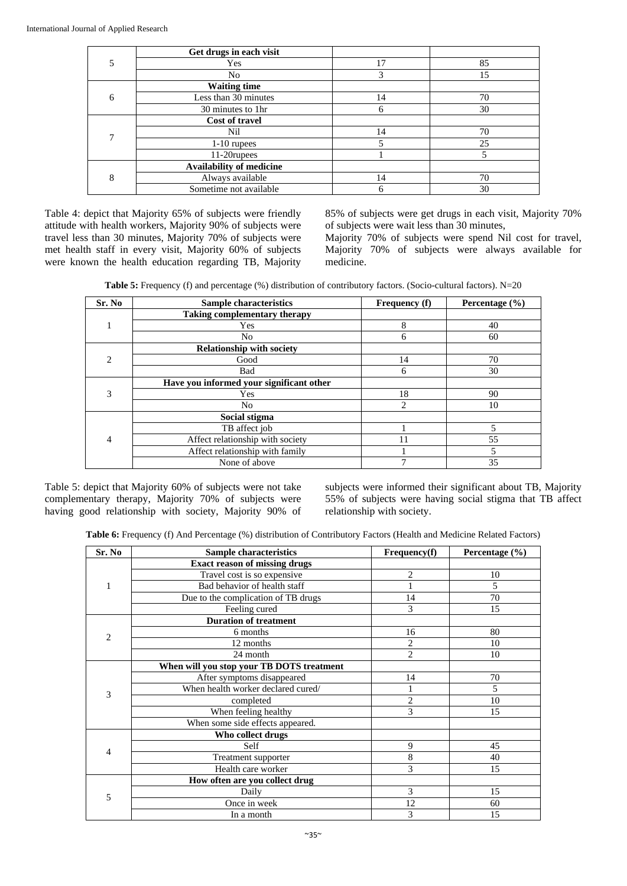|              | Get drugs in each visit  |    |    |
|--------------|--------------------------|----|----|
|              | Yes                      | 17 | 85 |
|              | N <sub>0</sub>           | 3  | 15 |
|              | <b>Waiting time</b>      |    |    |
| 6            | Less than 30 minutes     | 14 | 70 |
|              | 30 minutes to 1hr        | 6  | 30 |
|              | Cost of travel           |    |    |
| $\mathbf{r}$ | Nil                      | 14 | 70 |
|              | $1-10$ rupees            | 5  | 25 |
|              | 11-20rupees              |    | 5  |
| 8            | Availability of medicine |    |    |
|              | Always available         | 14 | 70 |
|              | Sometime not available   | 6  | 30 |

Table 4: depict that Majority 65% of subjects were friendly attitude with health workers, Majority 90% of subjects were travel less than 30 minutes, Majority 70% of subjects were met health staff in every visit, Majority 60% of subjects were known the health education regarding TB, Majority

85% of subjects were get drugs in each visit, Majority 70% of subjects were wait less than 30 minutes,

Majority 70% of subjects were spend Nil cost for travel, Majority 70% of subjects were always available for medicine.

**Table 5:** Frequency (f) and percentage (%) distribution of contributory factors. (Socio-cultural factors). N=20

| Sr. No                      | <b>Sample characteristics</b>            | <b>Frequency</b> (f) | Percentage $(\% )$ |
|-----------------------------|------------------------------------------|----------------------|--------------------|
|                             | <b>Taking complementary therapy</b>      |                      |                    |
|                             | Yes                                      | 8                    | 40                 |
|                             | No                                       | 6                    | 60                 |
|                             | <b>Relationship with society</b>         |                      |                    |
| $\mathcal{D}_{\mathcal{L}}$ | Good                                     | 14                   | 70                 |
|                             | Bad                                      | 6                    | 30                 |
|                             | Have you informed your significant other |                      |                    |
| 3                           | Yes                                      | 18                   | 90                 |
|                             | No                                       | 2                    | 10                 |
|                             | Social stigma                            |                      |                    |
| $\overline{4}$              | TB affect job                            |                      | 5                  |
|                             | Affect relationship with society         | 11                   | 55                 |
|                             | Affect relationship with family          |                      | 5                  |
|                             | None of above                            | ⇁                    | 35                 |

Table 5: depict that Majority 60% of subjects were not take complementary therapy, Majority 70% of subjects were having good relationship with society, Majority 90% of

subjects were informed their significant about TB, Majority 55% of subjects were having social stigma that TB affect relationship with society.

**Table 6:** Frequency (f) And Percentage (%) distribution of Contributory Factors (Health and Medicine Related Factors)

| Sr. No         | <b>Sample characteristics</b>             | Frequency(f)   | Percentage (%) |
|----------------|-------------------------------------------|----------------|----------------|
|                | <b>Exact reason of missing drugs</b>      |                |                |
|                | Travel cost is so expensive               | $\overline{c}$ | 10             |
| 1              | Bad behavior of health staff              |                | 5              |
|                | Due to the complication of TB drugs       | 14             | 70             |
|                | Feeling cured                             | 3              | 15             |
|                | <b>Duration of treatment</b>              |                |                |
| $\overline{c}$ | 6 months                                  | 16             | 80             |
|                | 12 months                                 | $\overline{c}$ | 10             |
|                | 24 month                                  | $\overline{c}$ | 10             |
|                | When will you stop your TB DOTS treatment |                |                |
|                | After symptoms disappeared                | 14             | 70             |
| 3              | When health worker declared cured/        |                | 5              |
|                | completed                                 | $\overline{2}$ | 10             |
|                | When feeling healthy                      | 3              | 15             |
|                | When some side effects appeared.          |                |                |
|                | Who collect drugs                         |                |                |
|                | Self                                      | 9              | 45             |
| 4              | Treatment supporter                       | 8              | 40             |
|                | Health care worker                        | 3              | 15             |
|                | How often are you collect drug            |                |                |
|                | Daily                                     | 3              | 15             |
| 5              | Once in week                              | 12             | 60             |
|                | In a month                                | 3              | 15             |